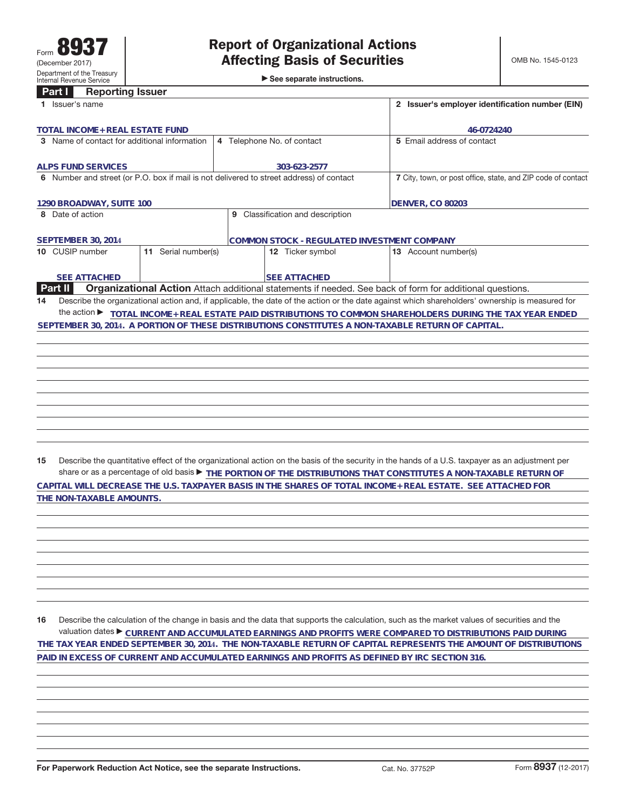►<br>► See separate instructions.

## **Part I Reporting Issuer**

| 1 Issuer's name                                                                         |                            |                                                              | 2 Issuer's employer identification number (EIN)                                                                                                 |
|-----------------------------------------------------------------------------------------|----------------------------|--------------------------------------------------------------|-------------------------------------------------------------------------------------------------------------------------------------------------|
| TOTAL INCOME+ REAL ESTATE FUND                                                          |                            | 46-0724240                                                   |                                                                                                                                                 |
| 3 Name of contact for additional information                                            | 4 Telephone No. of contact | 5 Email address of contact                                   |                                                                                                                                                 |
| <b>ALPS FUND SERVICES</b>                                                               |                            | 303-623-2577                                                 |                                                                                                                                                 |
| 6 Number and street (or P.O. box if mail is not delivered to street address) of contact |                            | 7 City, town, or post office, state, and ZIP code of contact |                                                                                                                                                 |
| 1290 BROADWAY, SUITE 100                                                                |                            |                                                              | <b>DENVER, CO 80203</b>                                                                                                                         |
| 8 Date of action                                                                        |                            | 9 Classification and description                             |                                                                                                                                                 |
| <b>SEPTEMBER 30, 2014</b>                                                               |                            | COMMON STOCK - REGULATED INVESTMENT COMPANY                  |                                                                                                                                                 |
| 10 CUSIP number                                                                         | 11 Serial number(s)        | 12 Ticker symbol                                             | 13 Account number(s)                                                                                                                            |
| <b>SEE ATTACHED</b>                                                                     |                            | <b>SEE ATTACHED</b>                                          |                                                                                                                                                 |
| <b>Part II</b>                                                                          |                            |                                                              | Organizational Action Attach additional statements if needed. See back of form for additional questions.                                        |
| 14                                                                                      |                            |                                                              | Describe the organizational action and, if applicable, the date of the action or the date against which shareholders' ownership is measured for |
|                                                                                         |                            |                                                              | the action ▶ TOTAL INCOME+ REAL ESTATE PAID DISTRIBUTIONS TO COMMON SHAREHOLDERS DURING THE TAX YEAR ENDED                                      |
|                                                                                         |                            |                                                              | SEPTEMBER 30, 2014. A PORTION OF THESE DISTRIBUTIONS CONSTITUTES A NON-TAXABLE RETURN OF CAPITAL.                                               |
|                                                                                         |                            |                                                              |                                                                                                                                                 |
|                                                                                         |                            |                                                              |                                                                                                                                                 |
|                                                                                         |                            |                                                              |                                                                                                                                                 |
|                                                                                         |                            |                                                              |                                                                                                                                                 |
|                                                                                         |                            |                                                              |                                                                                                                                                 |
|                                                                                         |                            |                                                              |                                                                                                                                                 |
|                                                                                         |                            |                                                              |                                                                                                                                                 |
|                                                                                         |                            |                                                              |                                                                                                                                                 |
|                                                                                         |                            |                                                              |                                                                                                                                                 |
|                                                                                         |                            |                                                              |                                                                                                                                                 |
|                                                                                         |                            |                                                              |                                                                                                                                                 |
| 15                                                                                      |                            |                                                              | Describe the quantitative effect of the organizational action on the basis of the security in the hands of a U.S. taxpayer as an adjustment per |
|                                                                                         |                            |                                                              | share or as a percentage of old basis $\blacktriangleright$ THE PORTION OF THE DISTRIBUTIONS THAT CONSTITUTES A NON-TAXABLE RETURN OF           |
|                                                                                         |                            |                                                              | CAPITAL WILL DECREASE THE U.S. TAXPAYER BASIS IN THE SHARES OF TOTAL INCOME+ REAL ESTATE. SEE ATTACHED FOR                                      |
| THE NON-TAXABLE AMOUNTS.                                                                |                            |                                                              |                                                                                                                                                 |
|                                                                                         |                            |                                                              |                                                                                                                                                 |
|                                                                                         |                            |                                                              |                                                                                                                                                 |
|                                                                                         |                            |                                                              |                                                                                                                                                 |
|                                                                                         |                            |                                                              |                                                                                                                                                 |

**16** Describe the calculation of the change in basis and the data that supports the calculation, such as the market values of securities and the valuation dates ▶ <sub>CURRENT</sub> AND ACCUMULATED EARNINGS AND PROFITS WERE COMPARED TO DISTRIBUTIONS PAID DURING THE TAX YEAR ENDED SEPTEMBER 30, 2014. THE NON-TAXABLE RETURN OF CAPITAL REPRESENTS THE AMOUNT OF DISTRIBUTIONS **PAID IN EXCESS OF CURRENT AND ACCUMULATED EARNINGS AND PROFITS AS DEFINED BY IRC SECTION 316.**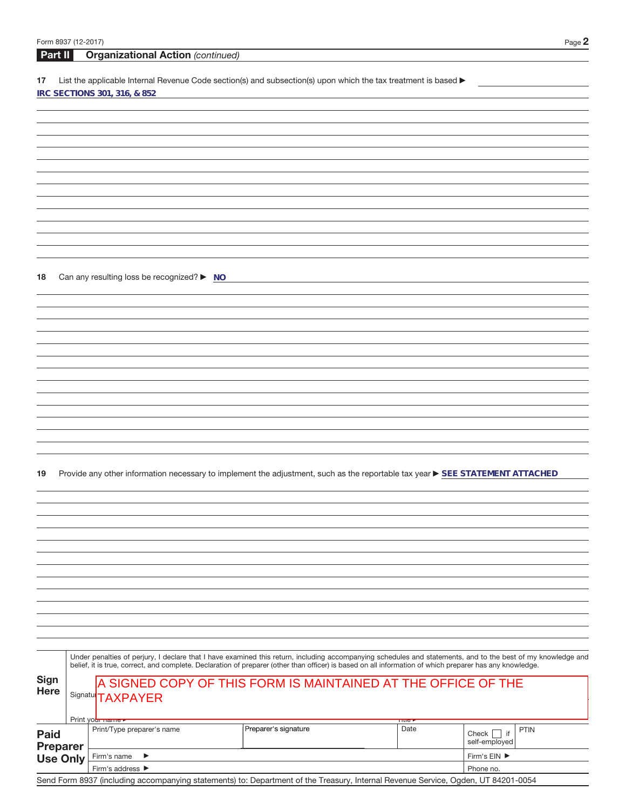**18** Can any resulting loss be recognized? ▶ NO

19 Provide any other information necessary to implement the adjustment, such as the reportable tax year **> SEE STATEMENT ATTACHED** 

|                                                   |                                                                                                                                   | Under penalties of perjury, I declare that I have examined this return, including accompanying schedules and statements, and to the best of my knowledge and<br>belief, it is true, correct, and complete. Declaration of preparer (other than officer) is based on all information of which preparer has any knowledge. |                      |              |                                                 |  |  |  |  |  |  |  |
|---------------------------------------------------|-----------------------------------------------------------------------------------------------------------------------------------|--------------------------------------------------------------------------------------------------------------------------------------------------------------------------------------------------------------------------------------------------------------------------------------------------------------------------|----------------------|--------------|-------------------------------------------------|--|--|--|--|--|--|--|
| Sign<br><b>Here</b>                               |                                                                                                                                   | A SIGNED COPY OF THIS FORM IS MAINTAINED AT THE OFFICE OF THE<br>Signatu <sup></sup> TAXPAYER<br>Print yo <del>ur name ►</del><br>πue∙                                                                                                                                                                                   |                      |              |                                                 |  |  |  |  |  |  |  |
| <b>Paid</b><br><b>Preparer</b><br><b>Use Only</b> |                                                                                                                                   | Print/Type preparer's name                                                                                                                                                                                                                                                                                               | Preparer's signature | Date         | <b>PTIN</b><br>if<br>Check    <br>self-employed |  |  |  |  |  |  |  |
|                                                   |                                                                                                                                   | Firm's name<br>$\rightarrow$                                                                                                                                                                                                                                                                                             |                      | Firm's EIN ▶ |                                                 |  |  |  |  |  |  |  |
|                                                   |                                                                                                                                   | Firm's address ▶                                                                                                                                                                                                                                                                                                         | Phone no.            |              |                                                 |  |  |  |  |  |  |  |
|                                                   | Send Form 8937 (including accompanying statements) to: Department of the Treasury, Internal Revenue Service, Ogden, UT 84201-0054 |                                                                                                                                                                                                                                                                                                                          |                      |              |                                                 |  |  |  |  |  |  |  |

 $\overline{\phantom{a}}$